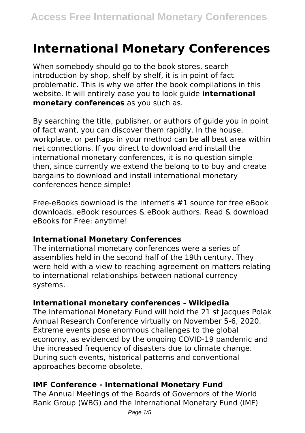# **International Monetary Conferences**

When somebody should go to the book stores, search introduction by shop, shelf by shelf, it is in point of fact problematic. This is why we offer the book compilations in this website. It will entirely ease you to look guide **international monetary conferences** as you such as.

By searching the title, publisher, or authors of guide you in point of fact want, you can discover them rapidly. In the house, workplace, or perhaps in your method can be all best area within net connections. If you direct to download and install the international monetary conferences, it is no question simple then, since currently we extend the belong to to buy and create bargains to download and install international monetary conferences hence simple!

Free-eBooks download is the internet's #1 source for free eBook downloads, eBook resources & eBook authors. Read & download eBooks for Free: anytime!

## **International Monetary Conferences**

The international monetary conferences were a series of assemblies held in the second half of the 19th century. They were held with a view to reaching agreement on matters relating to international relationships between national currency systems.

## **International monetary conferences - Wikipedia**

The International Monetary Fund will hold the 21 st Jacques Polak Annual Research Conference virtually on November 5-6, 2020. Extreme events pose enormous challenges to the global economy, as evidenced by the ongoing COVID-19 pandemic and the increased frequency of disasters due to climate change. During such events, historical patterns and conventional approaches become obsolete.

## **IMF Conference - International Monetary Fund**

The Annual Meetings of the Boards of Governors of the World Bank Group (WBG) and the International Monetary Fund (IMF)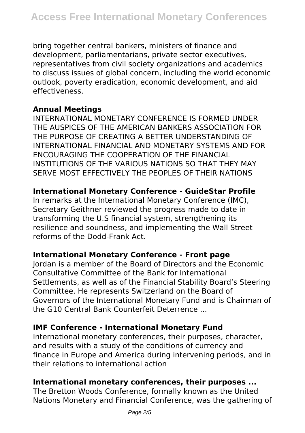bring together central bankers, ministers of finance and development, parliamentarians, private sector executives, representatives from civil society organizations and academics to discuss issues of global concern, including the world economic outlook, poverty eradication, economic development, and aid effectiveness.

## **Annual Meetings**

INTERNATIONAL MONETARY CONFERENCE IS FORMED UNDER THE AUSPICES OF THE AMERICAN BANKERS ASSOCIATION FOR THE PURPOSE OF CREATING A BETTER UNDERSTANDING OF INTERNATIONAL FINANCIAL AND MONETARY SYSTEMS AND FOR ENCOURAGING THE COOPERATION OF THE FINANCIAL INSTITUTIONS OF THE VARIOUS NATIONS SO THAT THEY MAY SERVE MOST EFFECTIVELY THE PEOPLES OF THEIR NATIONS

### **International Monetary Conference - GuideStar Profile**

In remarks at the International Monetary Conference (IMC), Secretary Geithner reviewed the progress made to date in transforming the U.S financial system, strengthening its resilience and soundness, and implementing the Wall Street reforms of the Dodd-Frank Act.

## **International Monetary Conference - Front page**

Jordan is a member of the Board of Directors and the Economic Consultative Committee of the Bank for International Settlements, as well as of the Financial Stability Board's Steering Committee. He represents Switzerland on the Board of Governors of the International Monetary Fund and is Chairman of the G10 Central Bank Counterfeit Deterrence ...

## **IMF Conference - International Monetary Fund**

International monetary conferences, their purposes, character, and results with a study of the conditions of currency and finance in Europe and America during intervening periods, and in their relations to international action

#### **International monetary conferences, their purposes ...**

The Bretton Woods Conference, formally known as the United Nations Monetary and Financial Conference, was the gathering of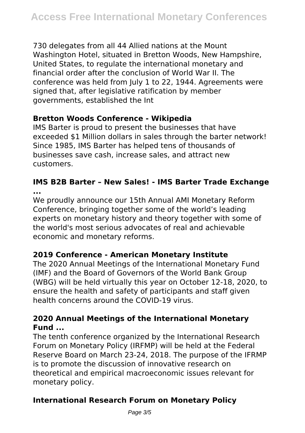730 delegates from all 44 Allied nations at the Mount Washington Hotel, situated in Bretton Woods, New Hampshire, United States, to regulate the international monetary and financial order after the conclusion of World War II. The conference was held from July 1 to 22, 1944. Agreements were signed that, after legislative ratification by member governments, established the Int

### **Bretton Woods Conference - Wikipedia**

IMS Barter is proud to present the businesses that have exceeded \$1 Million dollars in sales through the barter network! Since 1985, IMS Barter has helped tens of thousands of businesses save cash, increase sales, and attract new customers.

## **IMS B2B Barter – New Sales! - IMS Barter Trade Exchange ...**

We proudly announce our 15th Annual AMI Monetary Reform Conference, bringing together some of the world's leading experts on monetary history and theory together with some of the world's most serious advocates of real and achievable economic and monetary reforms.

## **2019 Conference - American Monetary Institute**

The 2020 Annual Meetings of the International Monetary Fund (IMF) and the Board of Governors of the World Bank Group (WBG) will be held virtually this year on October 12-18, 2020, to ensure the health and safety of participants and staff given health concerns around the COVID-19 virus.

### **2020 Annual Meetings of the International Monetary Fund ...**

The tenth conference organized by the International Research Forum on Monetary Policy (IRFMP) will be held at the Federal Reserve Board on March 23-24, 2018. The purpose of the IFRMP is to promote the discussion of innovative research on theoretical and empirical macroeconomic issues relevant for monetary policy.

## **International Research Forum on Monetary Policy**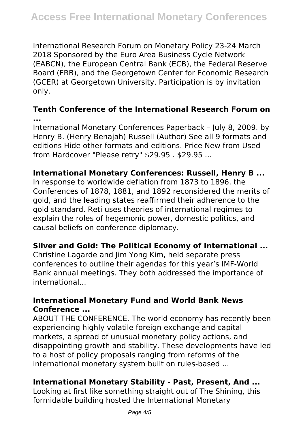International Research Forum on Monetary Policy 23-24 March 2018 Sponsored by the Euro Area Business Cycle Network (EABCN), the European Central Bank (ECB), the Federal Reserve Board (FRB), and the Georgetown Center for Economic Research (GCER) at Georgetown University. Participation is by invitation only.

**Tenth Conference of the International Research Forum on ...**

International Monetary Conferences Paperback – July 8, 2009. by Henry B. (Henry Benajah) Russell (Author) See all 9 formats and editions Hide other formats and editions. Price New from Used from Hardcover "Please retry" \$29.95 . \$29.95 ...

### **International Monetary Conferences: Russell, Henry B ...**

In response to worldwide deflation from 1873 to 1896, the Conferences of 1878, 1881, and 1892 reconsidered the merits of gold, and the leading states reaffirmed their adherence to the gold standard. Reti uses theories of international regimes to explain the roles of hegemonic power, domestic politics, and causal beliefs on conference diplomacy.

## **Silver and Gold: The Political Economy of International ...**

Christine Lagarde and Jim Yong Kim, held separate press conferences to outline their agendas for this year's IMF-World Bank annual meetings. They both addressed the importance of international...

## **International Monetary Fund and World Bank News Conference ...**

ABOUT THE CONFERENCE. The world economy has recently been experiencing highly volatile foreign exchange and capital markets, a spread of unusual monetary policy actions, and disappointing growth and stability. These developments have led to a host of policy proposals ranging from reforms of the international monetary system built on rules-based ...

## **International Monetary Stability - Past, Present, And ...**

Looking at first like something straight out of The Shining, this formidable building hosted the International Monetary